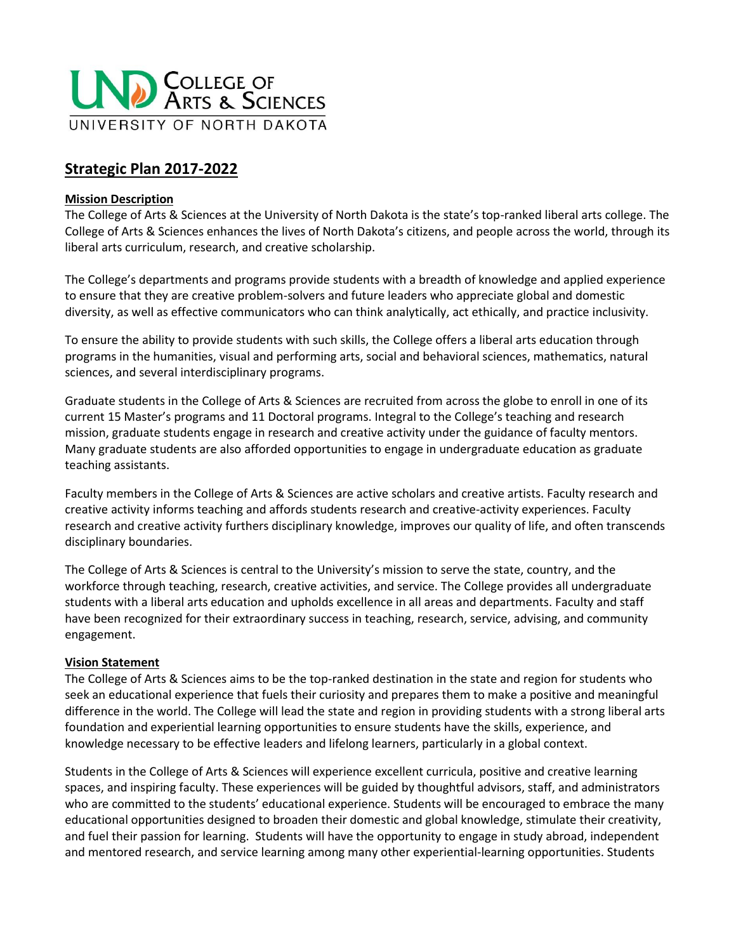

# **Strategic Plan 2017-2022**

#### **Mission Description**

The College of Arts & Sciences at the University of North Dakota is the state's top-ranked liberal arts college. The College of Arts & Sciences enhances the lives of North Dakota's citizens, and people across the world, through its liberal arts curriculum, research, and creative scholarship.

The College's departments and programs provide students with a breadth of knowledge and applied experience to ensure that they are creative problem-solvers and future leaders who appreciate global and domestic diversity, as well as effective communicators who can think analytically, act ethically, and practice inclusivity.

To ensure the ability to provide students with such skills, the College offers a liberal arts education through programs in the humanities, visual and performing arts, social and behavioral sciences, mathematics, natural sciences, and several interdisciplinary programs.

Graduate students in the College of Arts & Sciences are recruited from across the globe to enroll in one of its current 15 Master's programs and 11 Doctoral programs. Integral to the College's teaching and research mission, graduate students engage in research and creative activity under the guidance of faculty mentors. Many graduate students are also afforded opportunities to engage in undergraduate education as graduate teaching assistants.

Faculty members in the College of Arts & Sciences are active scholars and creative artists. Faculty research and creative activity informs teaching and affords students research and creative-activity experiences. Faculty research and creative activity furthers disciplinary knowledge, improves our quality of life, and often transcends disciplinary boundaries.

The College of Arts & Sciences is central to the University's mission to serve the state, country, and the workforce through teaching, research, creative activities, and service. The College provides all undergraduate students with a liberal arts education and upholds excellence in all areas and departments. Faculty and staff have been recognized for their extraordinary success in teaching, research, service, advising, and community engagement.

#### **Vision Statement**

The College of Arts & Sciences aims to be the top-ranked destination in the state and region for students who seek an educational experience that fuels their curiosity and prepares them to make a positive and meaningful difference in the world. The College will lead the state and region in providing students with a strong liberal arts foundation and experiential learning opportunities to ensure students have the skills, experience, and knowledge necessary to be effective leaders and lifelong learners, particularly in a global context.

Students in the College of Arts & Sciences will experience excellent curricula, positive and creative learning spaces, and inspiring faculty. These experiences will be guided by thoughtful advisors, staff, and administrators who are committed to the students' educational experience. Students will be encouraged to embrace the many educational opportunities designed to broaden their domestic and global knowledge, stimulate their creativity, and fuel their passion for learning. Students will have the opportunity to engage in study abroad, independent and mentored research, and service learning among many other experiential-learning opportunities. Students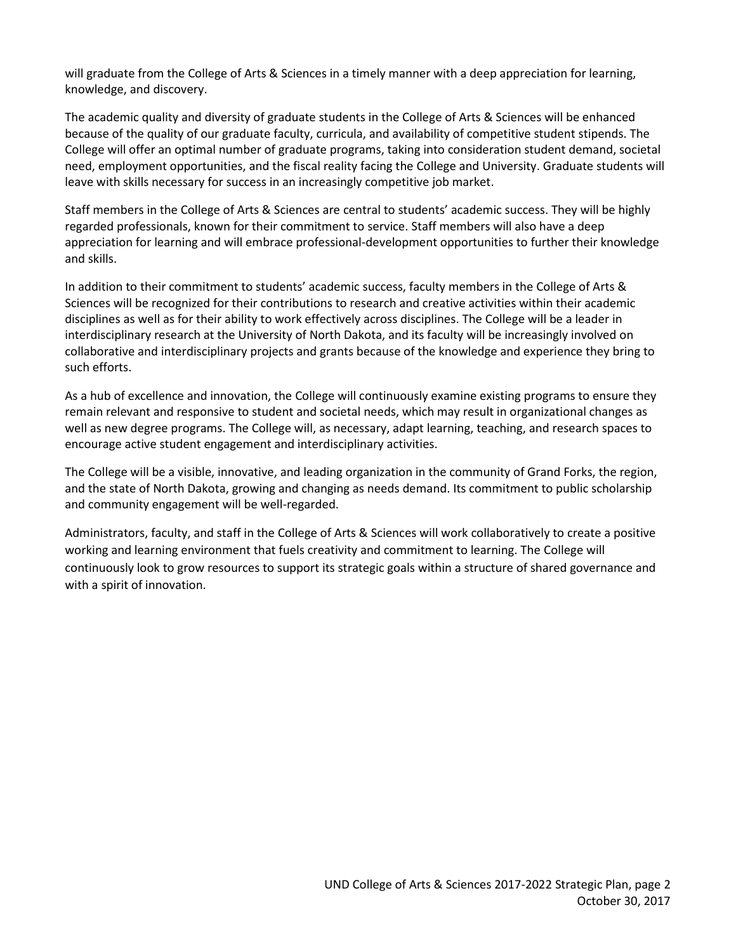will graduate from the College of Arts & Sciences in a timely manner with a deep appreciation for learning, knowledge, and discovery.

The academic quality and diversity of graduate students in the College of Arts & Sciences will be enhanced because of the quality of our graduate faculty, curricula, and availability of competitive student stipends. The College will offer an optimal number of graduate programs, taking into consideration student demand, societal need, employment opportunities, and the fiscal reality facing the College and University. Graduate students will leave with skills necessary for success in an increasingly competitive job market.

Staff members in the College of Arts & Sciences are central to students' academic success. They will be highly regarded professionals, known for their commitment to service. Staff members will also have a deep appreciation for learning and will embrace professional-development opportunities to further their knowledge and skills.

In addition to their commitment to students' academic success, faculty members in the College of Arts & Sciences will be recognized for their contributions to research and creative activities within their academic disciplines as well as for their ability to work effectively across disciplines. The College will be a leader in interdisciplinary research at the University of North Dakota, and its faculty will be increasingly involved on collaborative and interdisciplinary projects and grants because of the knowledge and experience they bring to such efforts.

As a hub of excellence and innovation, the College will continuously examine existing programs to ensure they remain relevant and responsive to student and societal needs, which may result in organizational changes as well as new degree programs. The College will, as necessary, adapt learning, teaching, and research spaces to encourage active student engagement and interdisciplinary activities.

The College will be a visible, innovative, and leading organization in the community of Grand Forks, the region, and the state of North Dakota, growing and changing as needs demand. Its commitment to public scholarship and community engagement will be well-regarded.

Administrators, faculty, and staff in the College of Arts & Sciences will work collaboratively to create a positive working and learning environment that fuels creativity and commitment to learning. The College will continuously look to grow resources to support its strategic goals within a structure of shared governance and with a spirit of innovation.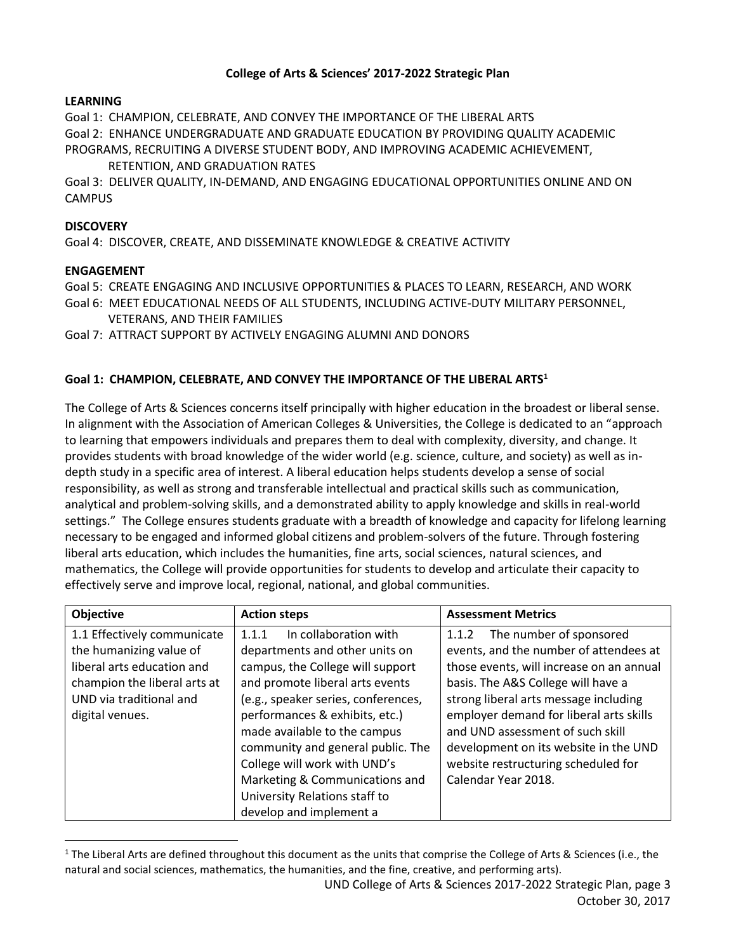#### **College of Arts & Sciences' 2017-2022 Strategic Plan**

### **LEARNING**

Goal 1: CHAMPION, CELEBRATE, AND CONVEY THE IMPORTANCE OF THE LIBERAL ARTS Goal 2: ENHANCE UNDERGRADUATE AND GRADUATE EDUCATION BY PROVIDING QUALITY ACADEMIC PROGRAMS, RECRUITING A DIVERSE STUDENT BODY, AND IMPROVING ACADEMIC ACHIEVEMENT,

RETENTION, AND GRADUATION RATES

Goal 3: DELIVER QUALITY, IN-DEMAND, AND ENGAGING EDUCATIONAL OPPORTUNITIES ONLINE AND ON CAMPUS

### **DISCOVERY**

Goal 4: DISCOVER, CREATE, AND DISSEMINATE KNOWLEDGE & CREATIVE ACTIVITY

### **ENGAGEMENT**

 $\overline{\phantom{a}}$ 

Goal 5: CREATE ENGAGING AND INCLUSIVE OPPORTUNITIES & PLACES TO LEARN, RESEARCH, AND WORK

- Goal 6: MEET EDUCATIONAL NEEDS OF ALL STUDENTS, INCLUDING ACTIVE-DUTY MILITARY PERSONNEL, VETERANS, AND THEIR FAMILIES
- Goal 7: ATTRACT SUPPORT BY ACTIVELY ENGAGING ALUMNI AND DONORS

### **Goal 1: CHAMPION, CELEBRATE, AND CONVEY THE IMPORTANCE OF THE LIBERAL ARTS<sup>1</sup>**

The College of Arts & Sciences concerns itself principally with higher education in the broadest or liberal sense. In alignment with the Association of American Colleges & Universities, the College is dedicated to an "approach to learning that empowers individuals and prepares them to deal with complexity, diversity, and change. It provides students with broad knowledge of the wider world (e.g. science, culture, and society) as well as indepth study in a specific area of interest. A liberal education helps students develop a sense of social responsibility, as well as strong and transferable intellectual and practical skills such as communication, analytical and problem-solving skills, and a demonstrated ability to apply knowledge and skills in real-world settings." The College ensures students graduate with a breadth of knowledge and capacity for lifelong learning necessary to be engaged and informed global citizens and problem-solvers of the future. Through fostering liberal arts education, which includes the humanities, fine arts, social sciences, natural sciences, and mathematics, the College will provide opportunities for students to develop and articulate their capacity to effectively serve and improve local, regional, national, and global communities.

| Objective                    | <b>Action steps</b>                 | <b>Assessment Metrics</b>                |
|------------------------------|-------------------------------------|------------------------------------------|
| 1.1 Effectively communicate  | In collaboration with<br>1.1.1      | The number of sponsored<br>1.1.2         |
| the humanizing value of      | departments and other units on      | events, and the number of attendees at   |
| liberal arts education and   | campus, the College will support    | those events, will increase on an annual |
| champion the liberal arts at | and promote liberal arts events     | basis. The A&S College will have a       |
| UND via traditional and      | (e.g., speaker series, conferences, | strong liberal arts message including    |
| digital venues.              | performances & exhibits, etc.)      | employer demand for liberal arts skills  |
|                              | made available to the campus        | and UND assessment of such skill         |
|                              | community and general public. The   | development on its website in the UND    |
|                              | College will work with UND's        | website restructuring scheduled for      |
|                              | Marketing & Communications and      | Calendar Year 2018.                      |
|                              | University Relations staff to       |                                          |
|                              | develop and implement a             |                                          |

 $1$  The Liberal Arts are defined throughout this document as the units that comprise the College of Arts & Sciences (i.e., the natural and social sciences, mathematics, the humanities, and the fine, creative, and performing arts).

UND College of Arts & Sciences 2017-2022 Strategic Plan, page 3 October 30, 2017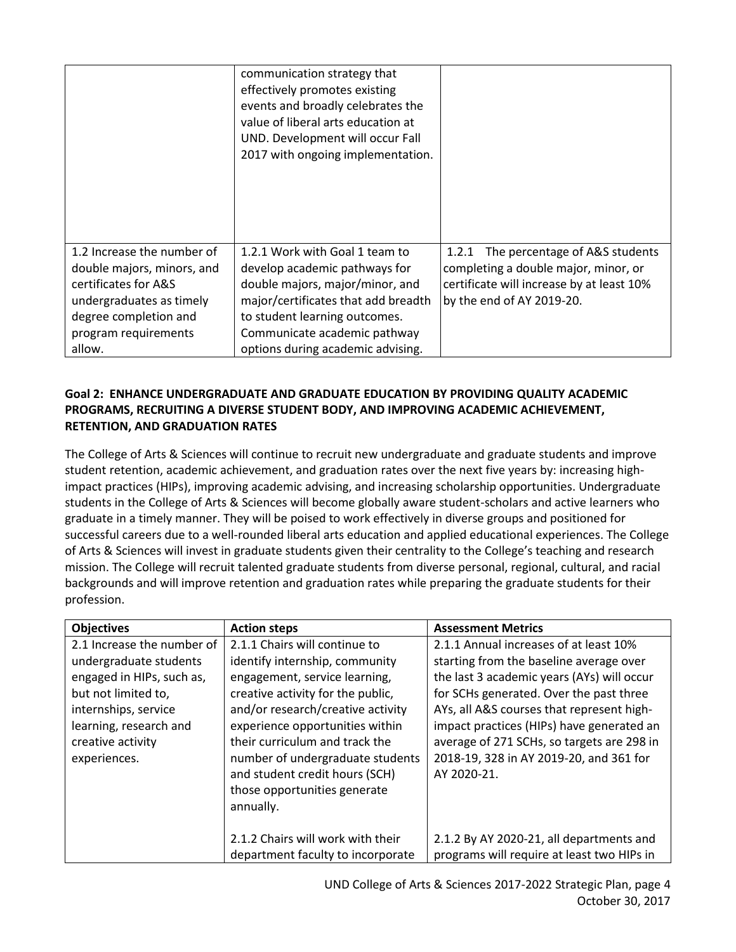|                            | communication strategy that<br>effectively promotes existing<br>events and broadly celebrates the<br>value of liberal arts education at<br>UND. Development will occur Fall<br>2017 with ongoing implementation. |                                           |
|----------------------------|------------------------------------------------------------------------------------------------------------------------------------------------------------------------------------------------------------------|-------------------------------------------|
| 1.2 Increase the number of | 1.2.1 Work with Goal 1 team to                                                                                                                                                                                   | The percentage of A&S students<br>1.2.1   |
| double majors, minors, and | develop academic pathways for                                                                                                                                                                                    | completing a double major, minor, or      |
| certificates for A&S       | double majors, major/minor, and                                                                                                                                                                                  | certificate will increase by at least 10% |
| undergraduates as timely   | major/certificates that add breadth                                                                                                                                                                              | by the end of AY 2019-20.                 |
| degree completion and      | to student learning outcomes.                                                                                                                                                                                    |                                           |
| program requirements       | Communicate academic pathway                                                                                                                                                                                     |                                           |
| allow.                     | options during academic advising.                                                                                                                                                                                |                                           |

### **Goal 2: ENHANCE UNDERGRADUATE AND GRADUATE EDUCATION BY PROVIDING QUALITY ACADEMIC PROGRAMS, RECRUITING A DIVERSE STUDENT BODY, AND IMPROVING ACADEMIC ACHIEVEMENT, RETENTION, AND GRADUATION RATES**

The College of Arts & Sciences will continue to recruit new undergraduate and graduate students and improve student retention, academic achievement, and graduation rates over the next five years by: increasing highimpact practices (HIPs), improving academic advising, and increasing scholarship opportunities. Undergraduate students in the College of Arts & Sciences will become globally aware student-scholars and active learners who graduate in a timely manner. They will be poised to work effectively in diverse groups and positioned for successful careers due to a well-rounded liberal arts education and applied educational experiences. The College of Arts & Sciences will invest in graduate students given their centrality to the College's teaching and research mission. The College will recruit talented graduate students from diverse personal, regional, cultural, and racial backgrounds and will improve retention and graduation rates while preparing the graduate students for their profession.

| <b>Objectives</b>          | <b>Action steps</b>               | <b>Assessment Metrics</b>                  |
|----------------------------|-----------------------------------|--------------------------------------------|
| 2.1 Increase the number of | 2.1.1 Chairs will continue to     | 2.1.1 Annual increases of at least 10%     |
| undergraduate students     | identify internship, community    | starting from the baseline average over    |
| engaged in HIPs, such as,  | engagement, service learning,     | the last 3 academic years (AYs) will occur |
| but not limited to,        | creative activity for the public, | for SCHs generated. Over the past three    |
| internships, service       | and/or research/creative activity | AYs, all A&S courses that represent high-  |
| learning, research and     | experience opportunities within   | impact practices (HIPs) have generated an  |
| creative activity          | their curriculum and track the    | average of 271 SCHs, so targets are 298 in |
| experiences.               | number of undergraduate students  | 2018-19, 328 in AY 2019-20, and 361 for    |
|                            | and student credit hours (SCH)    | AY 2020-21.                                |
|                            | those opportunities generate      |                                            |
|                            | annually.                         |                                            |
|                            |                                   |                                            |
|                            | 2.1.2 Chairs will work with their | 2.1.2 By AY 2020-21, all departments and   |
|                            | department faculty to incorporate | programs will require at least two HIPs in |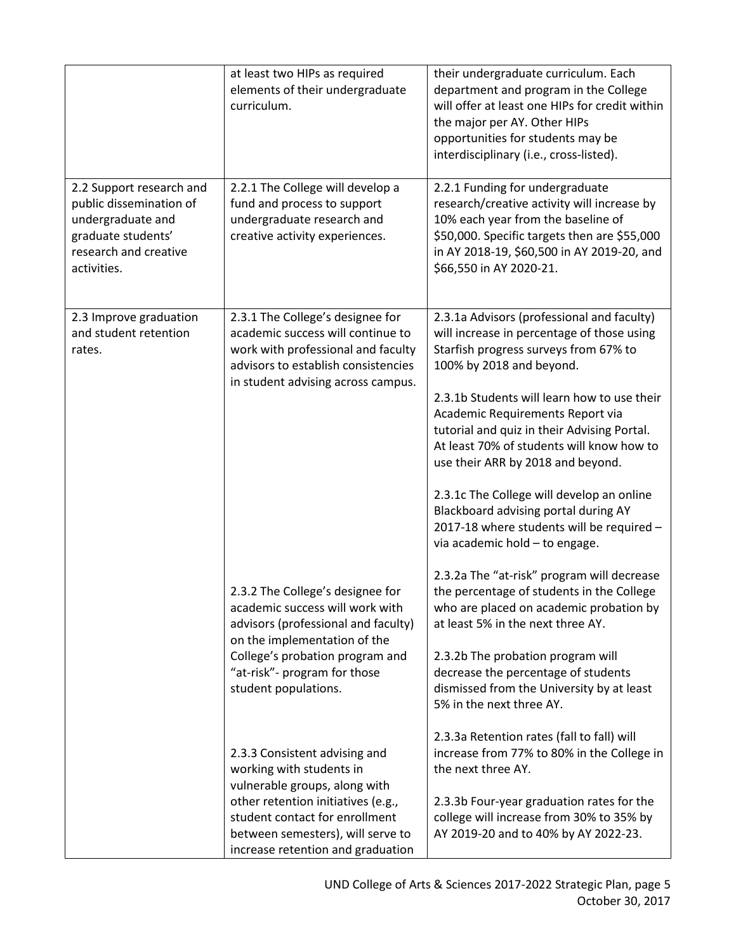|                                                                                                                                        | at least two HIPs as required<br>elements of their undergraduate<br>curriculum.                                                                                                                                                              | their undergraduate curriculum. Each<br>department and program in the College<br>will offer at least one HIPs for credit within<br>the major per AY. Other HIPs<br>opportunities for students may be<br>interdisciplinary (i.e., cross-listed).                                                                                                                                                                                                                                                                                                       |
|----------------------------------------------------------------------------------------------------------------------------------------|----------------------------------------------------------------------------------------------------------------------------------------------------------------------------------------------------------------------------------------------|-------------------------------------------------------------------------------------------------------------------------------------------------------------------------------------------------------------------------------------------------------------------------------------------------------------------------------------------------------------------------------------------------------------------------------------------------------------------------------------------------------------------------------------------------------|
| 2.2 Support research and<br>public dissemination of<br>undergraduate and<br>graduate students'<br>research and creative<br>activities. | 2.2.1 The College will develop a<br>fund and process to support<br>undergraduate research and<br>creative activity experiences.                                                                                                              | 2.2.1 Funding for undergraduate<br>research/creative activity will increase by<br>10% each year from the baseline of<br>\$50,000. Specific targets then are \$55,000<br>in AY 2018-19, \$60,500 in AY 2019-20, and<br>\$66,550 in AY 2020-21.                                                                                                                                                                                                                                                                                                         |
| 2.3 Improve graduation<br>and student retention<br>rates.                                                                              | 2.3.1 The College's designee for<br>academic success will continue to<br>work with professional and faculty<br>advisors to establish consistencies<br>in student advising across campus.                                                     | 2.3.1a Advisors (professional and faculty)<br>will increase in percentage of those using<br>Starfish progress surveys from 67% to<br>100% by 2018 and beyond.<br>2.3.1b Students will learn how to use their<br>Academic Requirements Report via<br>tutorial and quiz in their Advising Portal.<br>At least 70% of students will know how to<br>use their ARR by 2018 and beyond.<br>2.3.1c The College will develop an online<br>Blackboard advising portal during AY<br>2017-18 where students will be required -<br>via academic hold - to engage. |
|                                                                                                                                        | 2.3.2 The College's designee for<br>academic success will work with<br>advisors (professional and faculty)<br>on the implementation of the<br>College's probation program and<br>"at-risk"- program for those<br>student populations.        | 2.3.2a The "at-risk" program will decrease<br>the percentage of students in the College<br>who are placed on academic probation by<br>at least 5% in the next three AY.<br>2.3.2b The probation program will<br>decrease the percentage of students<br>dismissed from the University by at least<br>5% in the next three AY.                                                                                                                                                                                                                          |
|                                                                                                                                        | 2.3.3 Consistent advising and<br>working with students in<br>vulnerable groups, along with<br>other retention initiatives (e.g.,<br>student contact for enrollment<br>between semesters), will serve to<br>increase retention and graduation | 2.3.3a Retention rates (fall to fall) will<br>increase from 77% to 80% in the College in<br>the next three AY.<br>2.3.3b Four-year graduation rates for the<br>college will increase from 30% to 35% by<br>AY 2019-20 and to 40% by AY 2022-23.                                                                                                                                                                                                                                                                                                       |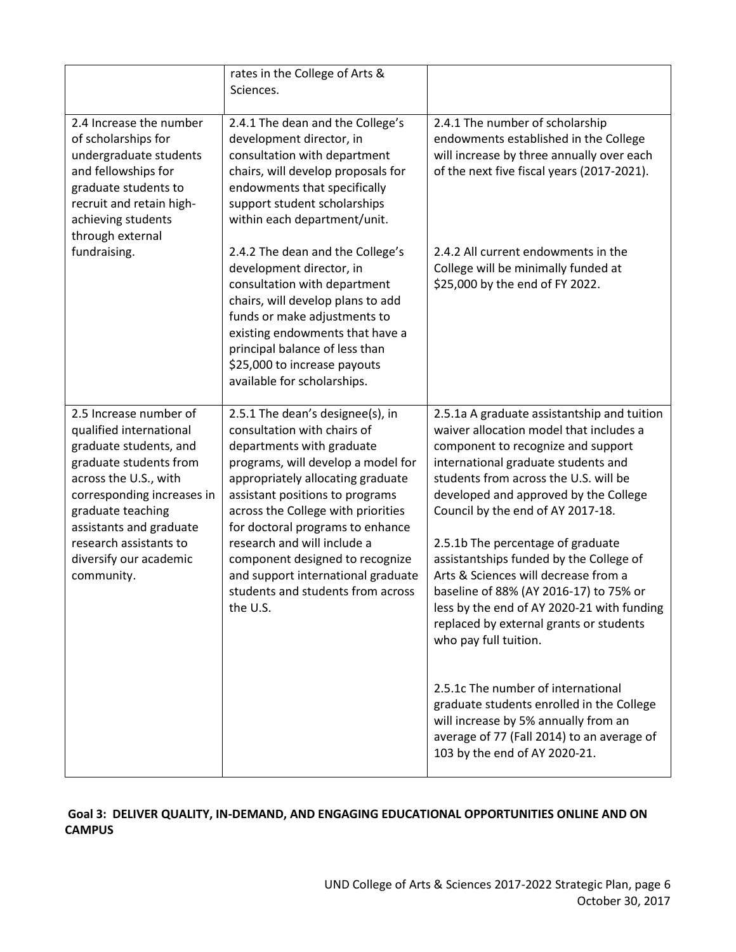|                                                                                                                                                                                                                                                                                | rates in the College of Arts &<br>Sciences.                                                                                                                                                                                                                                                                                                                                                                                                   |                                                                                                                                                                                                                                                                                                                                                                                                                                                                                                                                                                                |
|--------------------------------------------------------------------------------------------------------------------------------------------------------------------------------------------------------------------------------------------------------------------------------|-----------------------------------------------------------------------------------------------------------------------------------------------------------------------------------------------------------------------------------------------------------------------------------------------------------------------------------------------------------------------------------------------------------------------------------------------|--------------------------------------------------------------------------------------------------------------------------------------------------------------------------------------------------------------------------------------------------------------------------------------------------------------------------------------------------------------------------------------------------------------------------------------------------------------------------------------------------------------------------------------------------------------------------------|
| 2.4 Increase the number<br>of scholarships for<br>undergraduate students<br>and fellowships for<br>graduate students to<br>recruit and retain high-<br>achieving students<br>through external                                                                                  | 2.4.1 The dean and the College's<br>development director, in<br>consultation with department<br>chairs, will develop proposals for<br>endowments that specifically<br>support student scholarships<br>within each department/unit.                                                                                                                                                                                                            | 2.4.1 The number of scholarship<br>endowments established in the College<br>will increase by three annually over each<br>of the next five fiscal years (2017-2021).                                                                                                                                                                                                                                                                                                                                                                                                            |
| fundraising.                                                                                                                                                                                                                                                                   | 2.4.2 The dean and the College's<br>development director, in<br>consultation with department<br>chairs, will develop plans to add<br>funds or make adjustments to<br>existing endowments that have a<br>principal balance of less than<br>\$25,000 to increase payouts<br>available for scholarships.                                                                                                                                         | 2.4.2 All current endowments in the<br>College will be minimally funded at<br>\$25,000 by the end of FY 2022.                                                                                                                                                                                                                                                                                                                                                                                                                                                                  |
| 2.5 Increase number of<br>qualified international<br>graduate students, and<br>graduate students from<br>across the U.S., with<br>corresponding increases in<br>graduate teaching<br>assistants and graduate<br>research assistants to<br>diversify our academic<br>community. | 2.5.1 The dean's designee(s), in<br>consultation with chairs of<br>departments with graduate<br>programs, will develop a model for<br>appropriately allocating graduate<br>assistant positions to programs<br>across the College with priorities<br>for doctoral programs to enhance<br>research and will include a<br>component designed to recognize<br>and support international graduate<br>students and students from across<br>the U.S. | 2.5.1a A graduate assistantship and tuition<br>waiver allocation model that includes a<br>component to recognize and support<br>international graduate students and<br>students from across the U.S. will be<br>developed and approved by the College<br>Council by the end of AY 2017-18.<br>2.5.1b The percentage of graduate<br>assistantships funded by the College of<br>Arts & Sciences will decrease from a<br>baseline of 88% (AY 2016-17) to 75% or<br>less by the end of AY 2020-21 with funding<br>replaced by external grants or students<br>who pay full tuition. |
|                                                                                                                                                                                                                                                                                |                                                                                                                                                                                                                                                                                                                                                                                                                                               | 2.5.1c The number of international<br>graduate students enrolled in the College<br>will increase by 5% annually from an<br>average of 77 (Fall 2014) to an average of<br>103 by the end of AY 2020-21.                                                                                                                                                                                                                                                                                                                                                                         |

# **Goal 3: DELIVER QUALITY, IN-DEMAND, AND ENGAGING EDUCATIONAL OPPORTUNITIES ONLINE AND ON CAMPUS**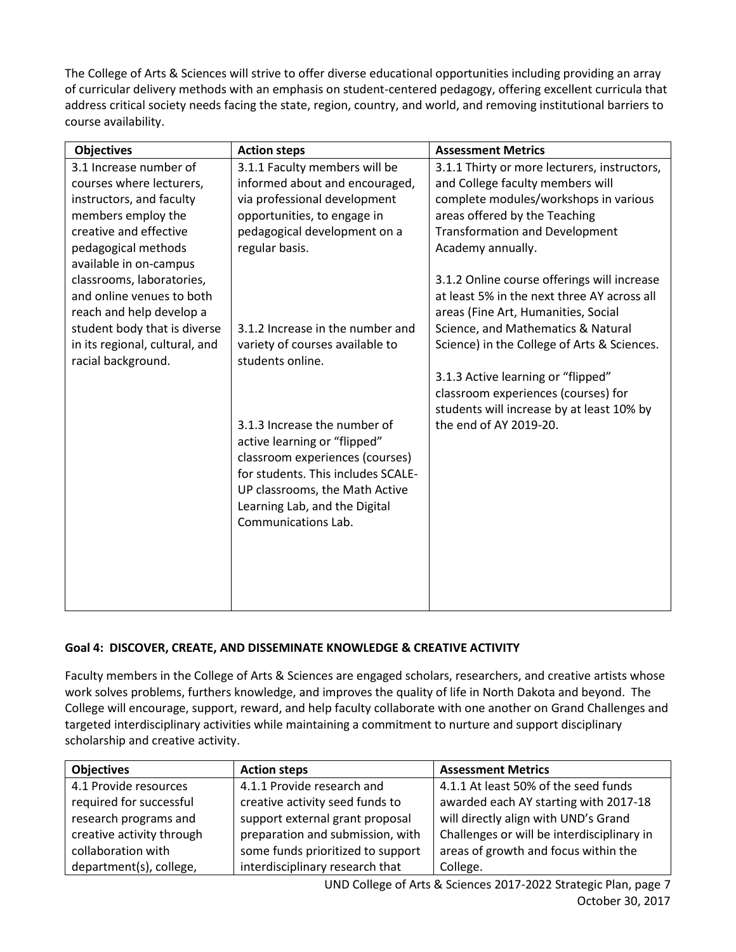The College of Arts & Sciences will strive to offer diverse educational opportunities including providing an array of curricular delivery methods with an emphasis on student-centered pedagogy, offering excellent curricula that address critical society needs facing the state, region, country, and world, and removing institutional barriers to course availability.

| <b>Objectives</b>              | <b>Action steps</b>                | <b>Assessment Metrics</b>                    |
|--------------------------------|------------------------------------|----------------------------------------------|
| 3.1 Increase number of         | 3.1.1 Faculty members will be      | 3.1.1 Thirty or more lecturers, instructors, |
| courses where lecturers,       | informed about and encouraged,     | and College faculty members will             |
| instructors, and faculty       | via professional development       | complete modules/workshops in various        |
| members employ the             | opportunities, to engage in        | areas offered by the Teaching                |
| creative and effective         | pedagogical development on a       | <b>Transformation and Development</b>        |
| pedagogical methods            | regular basis.                     | Academy annually.                            |
| available in on-campus         |                                    |                                              |
| classrooms, laboratories,      |                                    | 3.1.2 Online course offerings will increase  |
| and online venues to both      |                                    | at least 5% in the next three AY across all  |
| reach and help develop a       |                                    | areas (Fine Art, Humanities, Social          |
| student body that is diverse   | 3.1.2 Increase in the number and   | Science, and Mathematics & Natural           |
| in its regional, cultural, and | variety of courses available to    | Science) in the College of Arts & Sciences.  |
| racial background.             | students online.                   |                                              |
|                                |                                    | 3.1.3 Active learning or "flipped"           |
|                                |                                    | classroom experiences (courses) for          |
|                                |                                    | students will increase by at least 10% by    |
|                                | 3.1.3 Increase the number of       | the end of AY 2019-20.                       |
|                                | active learning or "flipped"       |                                              |
|                                | classroom experiences (courses)    |                                              |
|                                | for students. This includes SCALE- |                                              |
|                                | UP classrooms, the Math Active     |                                              |
|                                | Learning Lab, and the Digital      |                                              |
|                                | Communications Lab.                |                                              |
|                                |                                    |                                              |
|                                |                                    |                                              |
|                                |                                    |                                              |
|                                |                                    |                                              |
|                                |                                    |                                              |

## **Goal 4: DISCOVER, CREATE, AND DISSEMINATE KNOWLEDGE & CREATIVE ACTIVITY**

Faculty members in the College of Arts & Sciences are engaged scholars, researchers, and creative artists whose work solves problems, furthers knowledge, and improves the quality of life in North Dakota and beyond. The College will encourage, support, reward, and help faculty collaborate with one another on Grand Challenges and targeted interdisciplinary activities while maintaining a commitment to nurture and support disciplinary scholarship and creative activity.

| <b>Objectives</b>         | <b>Action steps</b>               | <b>Assessment Metrics</b>                  |
|---------------------------|-----------------------------------|--------------------------------------------|
| 4.1 Provide resources     | 4.1.1 Provide research and        | 4.1.1 At least 50% of the seed funds       |
| required for successful   | creative activity seed funds to   | awarded each AY starting with 2017-18      |
| research programs and     | support external grant proposal   | will directly align with UND's Grand       |
| creative activity through | preparation and submission, with  | Challenges or will be interdisciplinary in |
| collaboration with        | some funds prioritized to support | areas of growth and focus within the       |
| department(s), college,   | interdisciplinary research that   | College.                                   |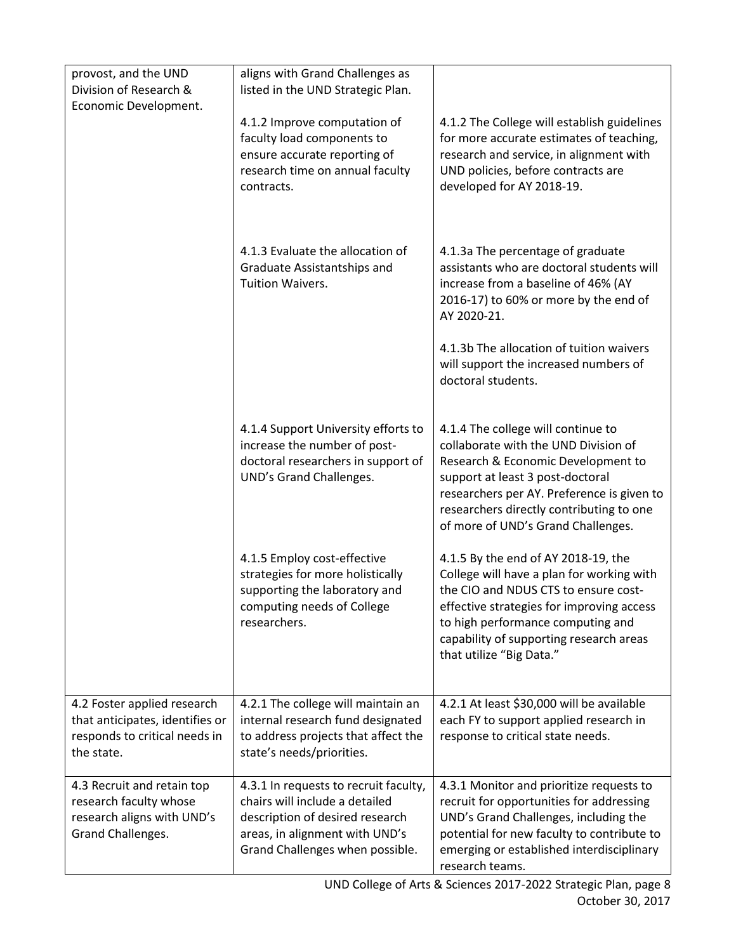| provost, and the UND<br>Division of Research &<br>Economic Development.                                       | aligns with Grand Challenges as<br>listed in the UND Strategic Plan.                                                                                                            |                                                                                                                                                                                                                                                                                      |
|---------------------------------------------------------------------------------------------------------------|---------------------------------------------------------------------------------------------------------------------------------------------------------------------------------|--------------------------------------------------------------------------------------------------------------------------------------------------------------------------------------------------------------------------------------------------------------------------------------|
|                                                                                                               | 4.1.2 Improve computation of<br>faculty load components to<br>ensure accurate reporting of<br>research time on annual faculty<br>contracts.                                     | 4.1.2 The College will establish guidelines<br>for more accurate estimates of teaching,<br>research and service, in alignment with<br>UND policies, before contracts are<br>developed for AY 2018-19.                                                                                |
|                                                                                                               | 4.1.3 Evaluate the allocation of<br>Graduate Assistantships and<br>Tuition Waivers.                                                                                             | 4.1.3a The percentage of graduate<br>assistants who are doctoral students will<br>increase from a baseline of 46% (AY<br>2016-17) to 60% or more by the end of<br>AY 2020-21.                                                                                                        |
|                                                                                                               |                                                                                                                                                                                 | 4.1.3b The allocation of tuition waivers<br>will support the increased numbers of<br>doctoral students.                                                                                                                                                                              |
|                                                                                                               | 4.1.4 Support University efforts to<br>increase the number of post-<br>doctoral researchers in support of<br>UND's Grand Challenges.                                            | 4.1.4 The college will continue to<br>collaborate with the UND Division of<br>Research & Economic Development to<br>support at least 3 post-doctoral<br>researchers per AY. Preference is given to<br>researchers directly contributing to one<br>of more of UND's Grand Challenges. |
|                                                                                                               | 4.1.5 Employ cost-effective<br>strategies for more holistically<br>supporting the laboratory and<br>computing needs of College<br>researchers.                                  | 4.1.5 By the end of AY 2018-19, the<br>College will have a plan for working with<br>the CIO and NDUS CTS to ensure cost-<br>effective strategies for improving access<br>to high performance computing and<br>capability of supporting research areas<br>that utilize "Big Data."    |
| 4.2 Foster applied research<br>that anticipates, identifies or<br>responds to critical needs in<br>the state. | 4.2.1 The college will maintain an<br>internal research fund designated<br>to address projects that affect the<br>state's needs/priorities.                                     | 4.2.1 At least \$30,000 will be available<br>each FY to support applied research in<br>response to critical state needs.                                                                                                                                                             |
| 4.3 Recruit and retain top<br>research faculty whose<br>research aligns with UND's<br>Grand Challenges.       | 4.3.1 In requests to recruit faculty,<br>chairs will include a detailed<br>description of desired research<br>areas, in alignment with UND's<br>Grand Challenges when possible. | 4.3.1 Monitor and prioritize requests to<br>recruit for opportunities for addressing<br>UND's Grand Challenges, including the<br>potential for new faculty to contribute to<br>emerging or established interdisciplinary<br>research teams.                                          |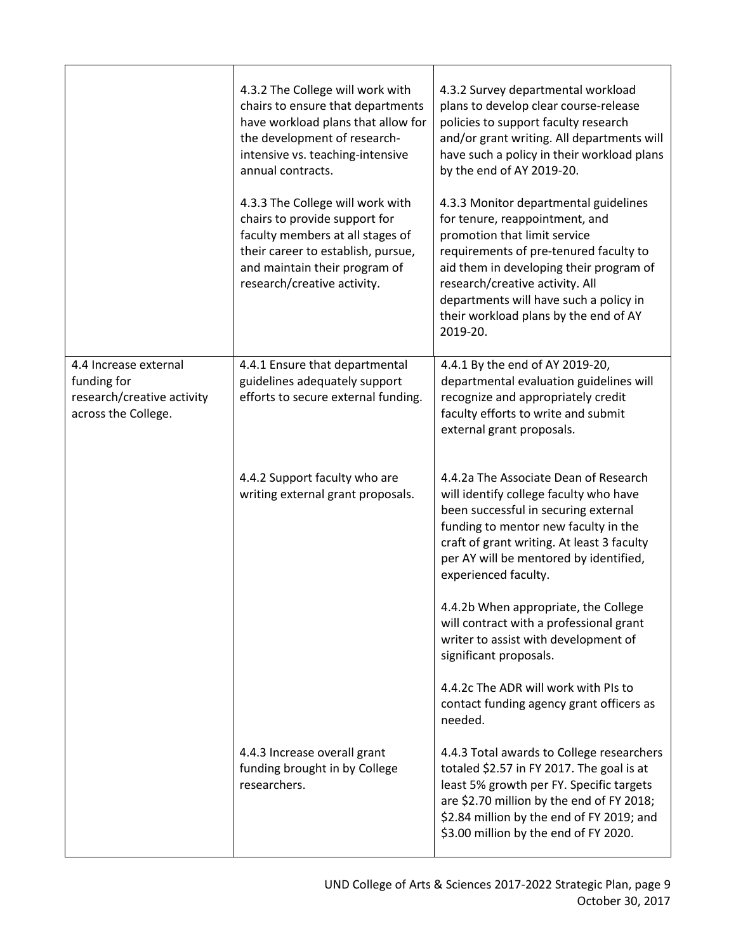|                                                                                           | 4.3.2 The College will work with<br>chairs to ensure that departments<br>have workload plans that allow for<br>the development of research-<br>intensive vs. teaching-intensive<br>annual contracts.<br>4.3.3 The College will work with<br>chairs to provide support for<br>faculty members at all stages of<br>their career to establish, pursue,<br>and maintain their program of<br>research/creative activity. | 4.3.2 Survey departmental workload<br>plans to develop clear course-release<br>policies to support faculty research<br>and/or grant writing. All departments will<br>have such a policy in their workload plans<br>by the end of AY 2019-20.<br>4.3.3 Monitor departmental guidelines<br>for tenure, reappointment, and<br>promotion that limit service<br>requirements of pre-tenured faculty to<br>aid them in developing their program of<br>research/creative activity. All<br>departments will have such a policy in<br>their workload plans by the end of AY<br>2019-20. |
|-------------------------------------------------------------------------------------------|---------------------------------------------------------------------------------------------------------------------------------------------------------------------------------------------------------------------------------------------------------------------------------------------------------------------------------------------------------------------------------------------------------------------|--------------------------------------------------------------------------------------------------------------------------------------------------------------------------------------------------------------------------------------------------------------------------------------------------------------------------------------------------------------------------------------------------------------------------------------------------------------------------------------------------------------------------------------------------------------------------------|
| 4.4 Increase external<br>funding for<br>research/creative activity<br>across the College. | 4.4.1 Ensure that departmental<br>guidelines adequately support<br>efforts to secure external funding.                                                                                                                                                                                                                                                                                                              | 4.4.1 By the end of AY 2019-20,<br>departmental evaluation guidelines will<br>recognize and appropriately credit<br>faculty efforts to write and submit<br>external grant proposals.                                                                                                                                                                                                                                                                                                                                                                                           |
|                                                                                           | 4.4.2 Support faculty who are<br>writing external grant proposals.                                                                                                                                                                                                                                                                                                                                                  | 4.4.2a The Associate Dean of Research<br>will identify college faculty who have<br>been successful in securing external<br>funding to mentor new faculty in the<br>craft of grant writing. At least 3 faculty<br>per AY will be mentored by identified,<br>experienced faculty.                                                                                                                                                                                                                                                                                                |
|                                                                                           |                                                                                                                                                                                                                                                                                                                                                                                                                     | 4.4.2b When appropriate, the College<br>will contract with a professional grant<br>writer to assist with development of<br>significant proposals.                                                                                                                                                                                                                                                                                                                                                                                                                              |
|                                                                                           |                                                                                                                                                                                                                                                                                                                                                                                                                     | 4.4.2c The ADR will work with PIs to<br>contact funding agency grant officers as<br>needed.                                                                                                                                                                                                                                                                                                                                                                                                                                                                                    |
|                                                                                           | 4.4.3 Increase overall grant<br>funding brought in by College<br>researchers.                                                                                                                                                                                                                                                                                                                                       | 4.4.3 Total awards to College researchers<br>totaled \$2.57 in FY 2017. The goal is at<br>least 5% growth per FY. Specific targets<br>are \$2.70 million by the end of FY 2018;<br>\$2.84 million by the end of FY 2019; and<br>\$3.00 million by the end of FY 2020.                                                                                                                                                                                                                                                                                                          |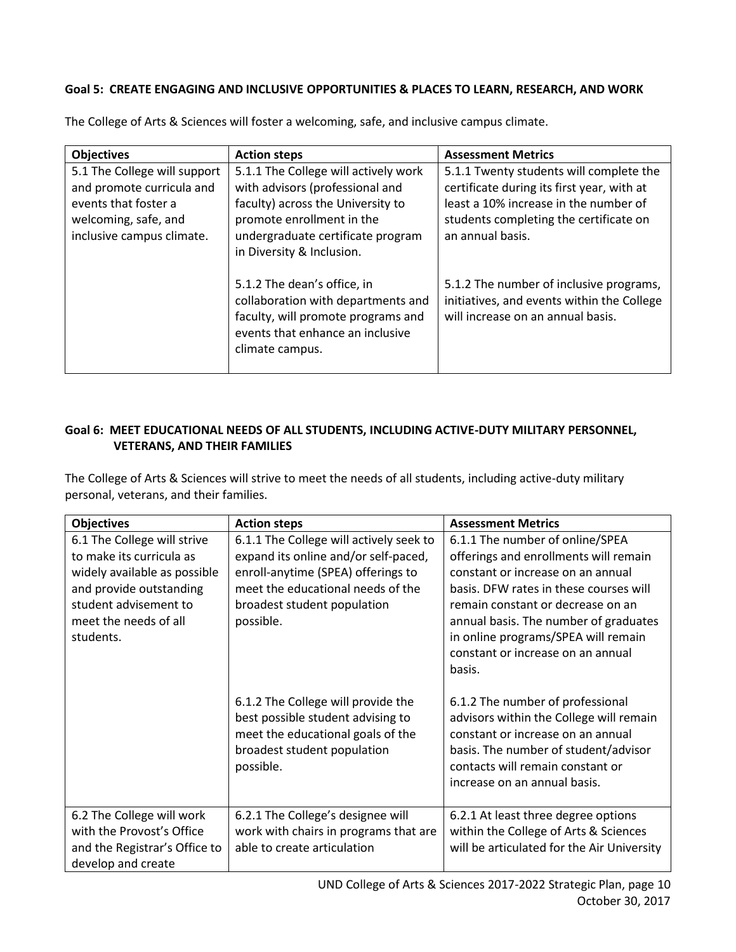### **Goal 5: CREATE ENGAGING AND INCLUSIVE OPPORTUNITIES & PLACES TO LEARN, RESEARCH, AND WORK**

| <b>Objectives</b>                                                                                                                      | <b>Action steps</b>                                                                                                                                                                                         | <b>Assessment Metrics</b>                                                                                                                                                                    |
|----------------------------------------------------------------------------------------------------------------------------------------|-------------------------------------------------------------------------------------------------------------------------------------------------------------------------------------------------------------|----------------------------------------------------------------------------------------------------------------------------------------------------------------------------------------------|
| 5.1 The College will support<br>and promote curricula and<br>events that foster a<br>welcoming, safe, and<br>inclusive campus climate. | 5.1.1 The College will actively work<br>with advisors (professional and<br>faculty) across the University to<br>promote enrollment in the<br>undergraduate certificate program<br>in Diversity & Inclusion. | 5.1.1 Twenty students will complete the<br>certificate during its first year, with at<br>least a 10% increase in the number of<br>students completing the certificate on<br>an annual basis. |
|                                                                                                                                        | 5.1.2 The dean's office, in<br>collaboration with departments and<br>faculty, will promote programs and<br>events that enhance an inclusive<br>climate campus.                                              | 5.1.2 The number of inclusive programs,<br>initiatives, and events within the College<br>will increase on an annual basis.                                                                   |

The College of Arts & Sciences will foster a welcoming, safe, and inclusive campus climate.

### **Goal 6: MEET EDUCATIONAL NEEDS OF ALL STUDENTS, INCLUDING ACTIVE-DUTY MILITARY PERSONNEL, VETERANS, AND THEIR FAMILIES**

The College of Arts & Sciences will strive to meet the needs of all students, including active-duty military personal, veterans, and their families.

| <b>Objectives</b>                                                                                                                                                                 | <b>Action steps</b>                                                                                                                                                                                    | <b>Assessment Metrics</b>                                                                                                                                                                                                                                                                                                   |
|-----------------------------------------------------------------------------------------------------------------------------------------------------------------------------------|--------------------------------------------------------------------------------------------------------------------------------------------------------------------------------------------------------|-----------------------------------------------------------------------------------------------------------------------------------------------------------------------------------------------------------------------------------------------------------------------------------------------------------------------------|
| 6.1 The College will strive<br>to make its curricula as<br>widely available as possible<br>and provide outstanding<br>student advisement to<br>meet the needs of all<br>students. | 6.1.1 The College will actively seek to<br>expand its online and/or self-paced,<br>enroll-anytime (SPEA) offerings to<br>meet the educational needs of the<br>broadest student population<br>possible. | 6.1.1 The number of online/SPEA<br>offerings and enrollments will remain<br>constant or increase on an annual<br>basis. DFW rates in these courses will<br>remain constant or decrease on an<br>annual basis. The number of graduates<br>in online programs/SPEA will remain<br>constant or increase on an annual<br>basis. |
|                                                                                                                                                                                   | 6.1.2 The College will provide the<br>best possible student advising to<br>meet the educational goals of the<br>broadest student population<br>possible.                                               | 6.1.2 The number of professional<br>advisors within the College will remain<br>constant or increase on an annual<br>basis. The number of student/advisor<br>contacts will remain constant or<br>increase on an annual basis.                                                                                                |
| 6.2 The College will work<br>with the Provost's Office<br>and the Registrar's Office to<br>develop and create                                                                     | 6.2.1 The College's designee will<br>work with chairs in programs that are<br>able to create articulation                                                                                              | 6.2.1 At least three degree options<br>within the College of Arts & Sciences<br>will be articulated for the Air University                                                                                                                                                                                                  |